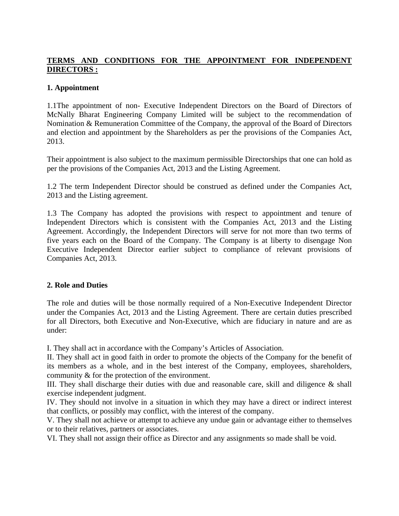# **TERMS AND CONDITIONS FOR THE APPOINTMENT FOR INDEPENDENT DIRECTORS :**

## **1. Appointment**

1.1The appointment of non- Executive Independent Directors on the Board of Directors of McNally Bharat Engineering Company Limited will be subject to the recommendation of Nomination & Remuneration Committee of the Company, the approval of the Board of Directors and election and appointment by the Shareholders as per the provisions of the Companies Act, 2013.

Their appointment is also subject to the maximum permissible Directorships that one can hold as per the provisions of the Companies Act, 2013 and the Listing Agreement.

1.2 The term Independent Director should be construed as defined under the Companies Act, 2013 and the Listing agreement.

1.3 The Company has adopted the provisions with respect to appointment and tenure of Independent Directors which is consistent with the Companies Act, 2013 and the Listing Agreement. Accordingly, the Independent Directors will serve for not more than two terms of five years each on the Board of the Company. The Company is at liberty to disengage Non Executive Independent Director earlier subject to compliance of relevant provisions of Companies Act, 2013.

## **2. Role and Duties**

The role and duties will be those normally required of a Non-Executive Independent Director under the Companies Act, 2013 and the Listing Agreement. There are certain duties prescribed for all Directors, both Executive and Non-Executive, which are fiduciary in nature and are as under:

I. They shall act in accordance with the Company's Articles of Association.

II. They shall act in good faith in order to promote the objects of the Company for the benefit of its members as a whole, and in the best interest of the Company, employees, shareholders, community & for the protection of the environment.

III. They shall discharge their duties with due and reasonable care, skill and diligence & shall exercise independent judgment.

IV. They should not involve in a situation in which they may have a direct or indirect interest that conflicts, or possibly may conflict, with the interest of the company.

V. They shall not achieve or attempt to achieve any undue gain or advantage either to themselves or to their relatives, partners or associates.

VI. They shall not assign their office as Director and any assignments so made shall be void.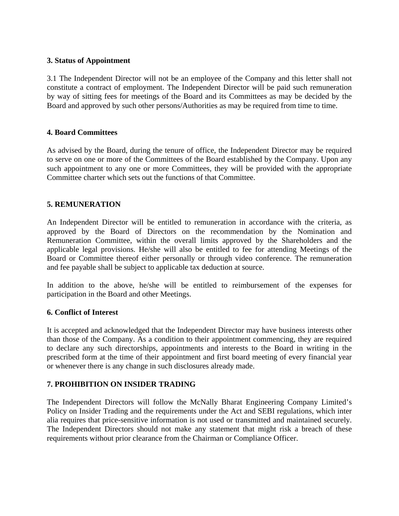### **3. Status of Appointment**

3.1 The Independent Director will not be an employee of the Company and this letter shall not constitute a contract of employment. The Independent Director will be paid such remuneration by way of sitting fees for meetings of the Board and its Committees as may be decided by the Board and approved by such other persons/Authorities as may be required from time to time.

### **4. Board Committees**

As advised by the Board, during the tenure of office, the Independent Director may be required to serve on one or more of the Committees of the Board established by the Company. Upon any such appointment to any one or more Committees, they will be provided with the appropriate Committee charter which sets out the functions of that Committee.

### **5. REMUNERATION**

An Independent Director will be entitled to remuneration in accordance with the criteria, as approved by the Board of Directors on the recommendation by the Nomination and Remuneration Committee, within the overall limits approved by the Shareholders and the applicable legal provisions. He/she will also be entitled to fee for attending Meetings of the Board or Committee thereof either personally or through video conference. The remuneration and fee payable shall be subject to applicable tax deduction at source.

In addition to the above, he/she will be entitled to reimbursement of the expenses for participation in the Board and other Meetings.

### **6. Conflict of Interest**

It is accepted and acknowledged that the Independent Director may have business interests other than those of the Company. As a condition to their appointment commencing, they are required to declare any such directorships, appointments and interests to the Board in writing in the prescribed form at the time of their appointment and first board meeting of every financial year or whenever there is any change in such disclosures already made.

### **7. PROHIBITION ON INSIDER TRADING**

The Independent Directors will follow the McNally Bharat Engineering Company Limited's Policy on Insider Trading and the requirements under the Act and SEBI regulations, which inter alia requires that price-sensitive information is not used or transmitted and maintained securely. The Independent Directors should not make any statement that might risk a breach of these requirements without prior clearance from the Chairman or Compliance Officer.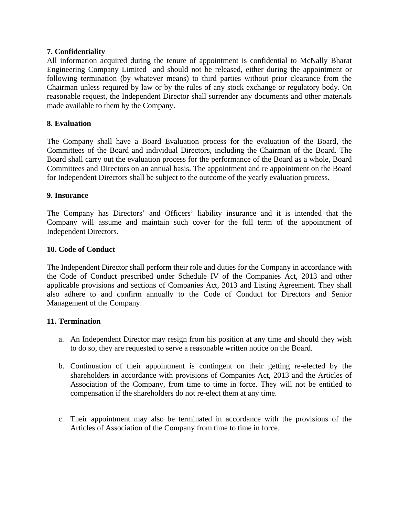### **7. Confidentiality**

All information acquired during the tenure of appointment is confidential to McNally Bharat Engineering Company Limited and should not be released, either during the appointment or following termination (by whatever means) to third parties without prior clearance from the Chairman unless required by law or by the rules of any stock exchange or regulatory body. On reasonable request, the Independent Director shall surrender any documents and other materials made available to them by the Company.

### **8. Evaluation**

The Company shall have a Board Evaluation process for the evaluation of the Board, the Committees of the Board and individual Directors, including the Chairman of the Board. The Board shall carry out the evaluation process for the performance of the Board as a whole, Board Committees and Directors on an annual basis. The appointment and re appointment on the Board for Independent Directors shall be subject to the outcome of the yearly evaluation process.

### **9. Insurance**

The Company has Directors' and Officers' liability insurance and it is intended that the Company will assume and maintain such cover for the full term of the appointment of Independent Directors.

### **10. Code of Conduct**

The Independent Director shall perform their role and duties for the Company in accordance with the Code of Conduct prescribed under Schedule IV of the Companies Act, 2013 and other applicable provisions and sections of Companies Act, 2013 and Listing Agreement. They shall also adhere to and confirm annually to the Code of Conduct for Directors and Senior Management of the Company.

### **11. Termination**

- a. An Independent Director may resign from his position at any time and should they wish to do so, they are requested to serve a reasonable written notice on the Board.
- b. Continuation of their appointment is contingent on their getting re-elected by the shareholders in accordance with provisions of Companies Act, 2013 and the Articles of Association of the Company, from time to time in force. They will not be entitled to compensation if the shareholders do not re-elect them at any time.
- c. Their appointment may also be terminated in accordance with the provisions of the Articles of Association of the Company from time to time in force.